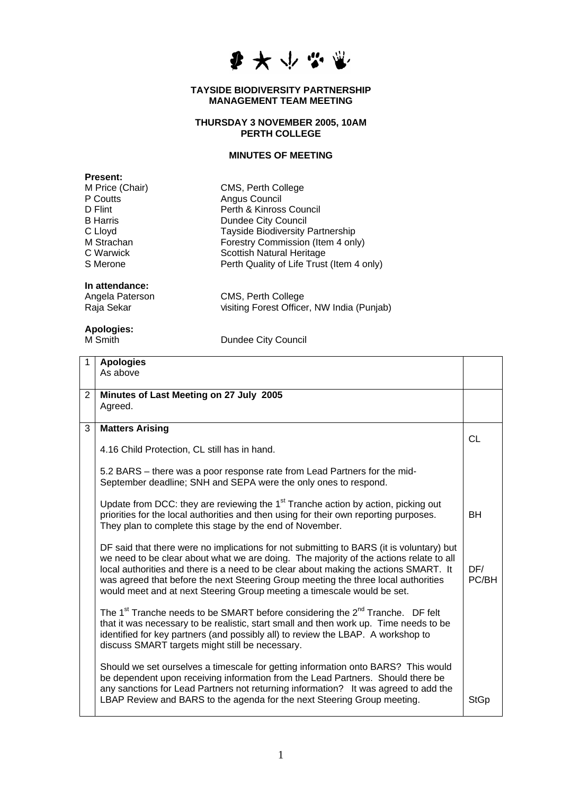

#### **TAYSIDE BIODIVERSITY PARTNERSHIP MANAGEMENT TEAM MEETING**

### **THURSDAY 3 NOVEMBER 2005, 10AM PERTH COLLEGE**

### **MINUTES OF MEETING**

Tayside Biodiversity Partnership Forestry Commission (Item 4 only)

CMS, Perth College Angus Council

Perth & Kinross Council **Dundee City Council** 

Scottish Natural Heritage

| <b>Present:</b> |  |
|-----------------|--|
| M Price (Chair) |  |
| P Coutts        |  |
| D Flint         |  |
| <b>B</b> Harris |  |
| C Lloyd         |  |
| M Strachan      |  |
| C Warwick       |  |
| S Merone        |  |

# **In attendance:**

CMS, Perth College Raja Sekar Visiting Forest Officer, NW India (Punjab)

Perth Quality of Life Trust (Item 4 only)

## **Apologies:**

Dundee City Council

| 1              | <b>Apologies</b>                                                                                      |             |
|----------------|-------------------------------------------------------------------------------------------------------|-------------|
|                | As above                                                                                              |             |
|                |                                                                                                       |             |
| $\overline{2}$ | Minutes of Last Meeting on 27 July 2005                                                               |             |
|                | Agreed.                                                                                               |             |
|                |                                                                                                       |             |
| 3              | <b>Matters Arising</b>                                                                                |             |
|                |                                                                                                       | CL          |
|                | 4.16 Child Protection, CL still has in hand.                                                          |             |
|                |                                                                                                       |             |
|                | 5.2 BARS – there was a poor response rate from Lead Partners for the mid-                             |             |
|                | September deadline; SNH and SEPA were the only ones to respond.                                       |             |
|                | Update from DCC: they are reviewing the 1 <sup>st</sup> Tranche action by action, picking out         |             |
|                | priorities for the local authorities and then using for their own reporting purposes.                 | <b>BH</b>   |
|                | They plan to complete this stage by the end of November.                                              |             |
|                |                                                                                                       |             |
|                | DF said that there were no implications for not submitting to BARS (it is voluntary) but              |             |
|                | we need to be clear about what we are doing. The majority of the actions relate to all                |             |
|                | local authorities and there is a need to be clear about making the actions SMART. It                  | DF/         |
|                | was agreed that before the next Steering Group meeting the three local authorities                    | PC/BH       |
|                | would meet and at next Steering Group meeting a timescale would be set.                               |             |
|                |                                                                                                       |             |
|                | The 1 <sup>st</sup> Tranche needs to be SMART before considering the 2 <sup>nd</sup> Tranche. DF felt |             |
|                | that it was necessary to be realistic, start small and then work up. Time needs to be                 |             |
|                | identified for key partners (and possibly all) to review the LBAP. A workshop to                      |             |
|                | discuss SMART targets might still be necessary.                                                       |             |
|                | Should we set ourselves a timescale for getting information onto BARS? This would                     |             |
|                | be dependent upon receiving information from the Lead Partners. Should there be                       |             |
|                | any sanctions for Lead Partners not returning information? It was agreed to add the                   |             |
|                | LBAP Review and BARS to the agenda for the next Steering Group meeting.                               | <b>StGp</b> |
|                |                                                                                                       |             |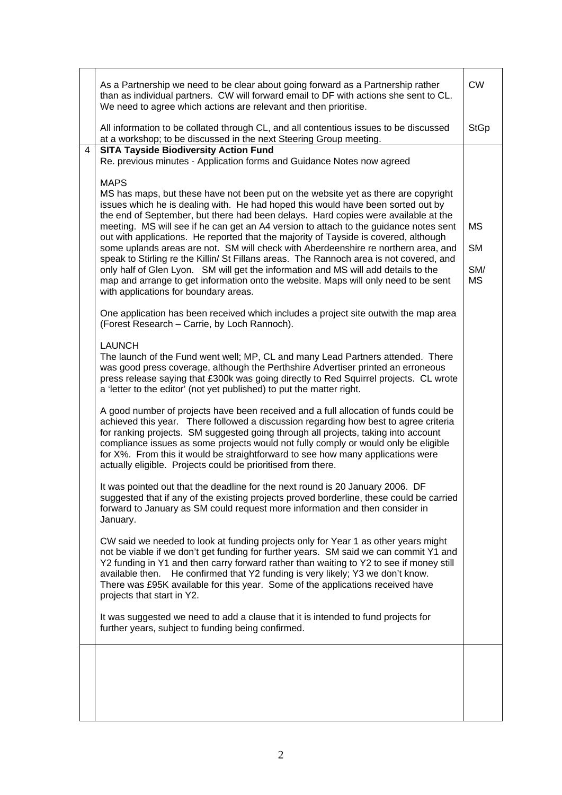|   | As a Partnership we need to be clear about going forward as a Partnership rather<br>than as individual partners. CW will forward email to DF with actions she sent to CL.<br>We need to agree which actions are relevant and then prioritise.                                                                                                                                                                                                                                                                                                                                                                                                                                                                                                                                                                                                                                                                                                                                                                                                                                                                                                                                                                                                                                                                                                                                                                                                                                                   | <b>CW</b>                           |
|---|-------------------------------------------------------------------------------------------------------------------------------------------------------------------------------------------------------------------------------------------------------------------------------------------------------------------------------------------------------------------------------------------------------------------------------------------------------------------------------------------------------------------------------------------------------------------------------------------------------------------------------------------------------------------------------------------------------------------------------------------------------------------------------------------------------------------------------------------------------------------------------------------------------------------------------------------------------------------------------------------------------------------------------------------------------------------------------------------------------------------------------------------------------------------------------------------------------------------------------------------------------------------------------------------------------------------------------------------------------------------------------------------------------------------------------------------------------------------------------------------------|-------------------------------------|
|   | All information to be collated through CL, and all contentious issues to be discussed<br>at a workshop; to be discussed in the next Steering Group meeting.                                                                                                                                                                                                                                                                                                                                                                                                                                                                                                                                                                                                                                                                                                                                                                                                                                                                                                                                                                                                                                                                                                                                                                                                                                                                                                                                     | <b>StGp</b>                         |
| 4 | <b>SITA Tayside Biodiversity Action Fund</b><br>Re. previous minutes - Application forms and Guidance Notes now agreed<br><b>MAPS</b><br>MS has maps, but these have not been put on the website yet as there are copyright<br>issues which he is dealing with. He had hoped this would have been sorted out by<br>the end of September, but there had been delays. Hard copies were available at the<br>meeting. MS will see if he can get an A4 version to attach to the guidance notes sent<br>out with applications. He reported that the majority of Tayside is covered, although<br>some uplands areas are not. SM will check with Aberdeenshire re northern area, and<br>speak to Stirling re the Killin/ St Fillans areas. The Rannoch area is not covered, and<br>only half of Glen Lyon. SM will get the information and MS will add details to the<br>map and arrange to get information onto the website. Maps will only need to be sent<br>with applications for boundary areas.<br>One application has been received which includes a project site outwith the map area<br>(Forest Research - Carrie, by Loch Rannoch).<br><b>LAUNCH</b><br>The launch of the Fund went well; MP, CL and many Lead Partners attended. There<br>was good press coverage, although the Perthshire Advertiser printed an erroneous<br>press release saying that £300k was going directly to Red Squirrel projects. CL wrote<br>a 'letter to the editor' (not yet published) to put the matter right. | ΜS<br><b>SM</b><br>SM/<br><b>MS</b> |
|   | A good number of projects have been received and a full allocation of funds could be<br>achieved this year. There followed a discussion regarding how best to agree criteria<br>for ranking projects. SM suggested going through all projects, taking into account<br>compliance issues as some projects would not fully comply or would only be eligible<br>for X%. From this it would be straightforward to see how many applications were<br>actually eligible. Projects could be prioritised from there.<br>It was pointed out that the deadline for the next round is 20 January 2006. DF<br>suggested that if any of the existing projects proved borderline, these could be carried<br>forward to January as SM could request more information and then consider in<br>January.<br>CW said we needed to look at funding projects only for Year 1 as other years might<br>not be viable if we don't get funding for further years. SM said we can commit Y1 and<br>Y2 funding in Y1 and then carry forward rather than waiting to Y2 to see if money still<br>He confirmed that Y2 funding is very likely; Y3 we don't know.<br>available then.<br>There was £95K available for this year. Some of the applications received have<br>projects that start in Y2.<br>It was suggested we need to add a clause that it is intended to fund projects for<br>further years, subject to funding being confirmed.                                                                                |                                     |
|   |                                                                                                                                                                                                                                                                                                                                                                                                                                                                                                                                                                                                                                                                                                                                                                                                                                                                                                                                                                                                                                                                                                                                                                                                                                                                                                                                                                                                                                                                                                 |                                     |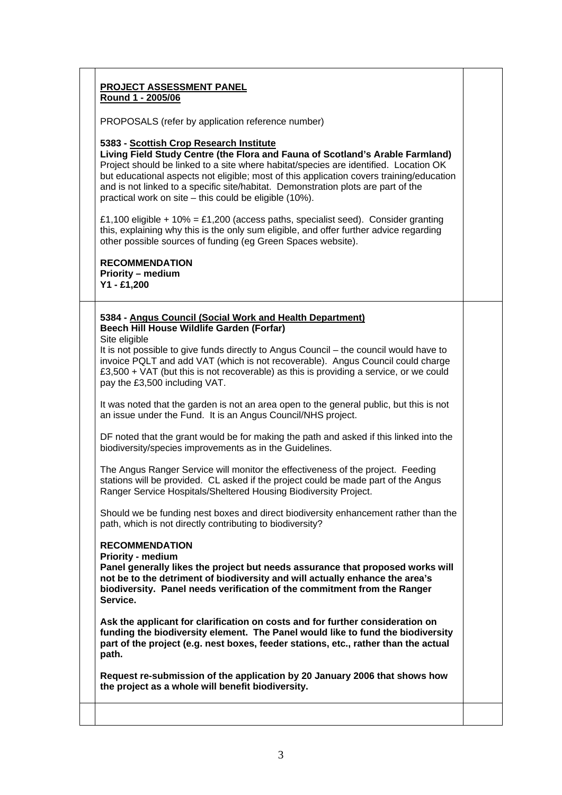## **PROJECT ASSESSMENT PANEL Round 1 - 2005/06**

PROPOSALS (refer by application reference number)

### **5383 - Scottish Crop Research Institute**

**Living Field Study Centre (the Flora and Fauna of Scotland's Arable Farmland)**  Project should be linked to a site where habitat/species are identified. Location OK but educational aspects not eligible; most of this application covers training/education and is not linked to a specific site/habitat. Demonstration plots are part of the practical work on site – this could be eligible (10%).

£1,100 eligible + 10% = £1,200 (access paths, specialist seed). Consider granting this, explaining why this is the only sum eligible, and offer further advice regarding other possible sources of funding (eg Green Spaces website).

**RECOMMENDATION Priority – medium Y1 - £1,200**

### **5384 - Angus Council (Social Work and Health Department) Beech Hill House Wildlife Garden (Forfar)**

Site eligible

It is not possible to give funds directly to Angus Council – the council would have to invoice PQLT and add VAT (which is not recoverable). Angus Council could charge £3,500 + VAT (but this is not recoverable) as this is providing a service, or we could pay the £3,500 including VAT.

It was noted that the garden is not an area open to the general public, but this is not an issue under the Fund. It is an Angus Council/NHS project.

DF noted that the grant would be for making the path and asked if this linked into the biodiversity/species improvements as in the Guidelines.

The Angus Ranger Service will monitor the effectiveness of the project. Feeding stations will be provided. CL asked if the project could be made part of the Angus Ranger Service Hospitals/Sheltered Housing Biodiversity Project.

Should we be funding nest boxes and direct biodiversity enhancement rather than the path, which is not directly contributing to biodiversity?

### **RECOMMENDATION**

**Priority - medium** 

**Panel generally likes the project but needs assurance that proposed works will not be to the detriment of biodiversity and will actually enhance the area's biodiversity. Panel needs verification of the commitment from the Ranger Service.** 

**Ask the applicant for clarification on costs and for further consideration on funding the biodiversity element. The Panel would like to fund the biodiversity part of the project (e.g. nest boxes, feeder stations, etc., rather than the actual path.**

**Request re-submission of the application by 20 January 2006 that shows how the project as a whole will benefit biodiversity.**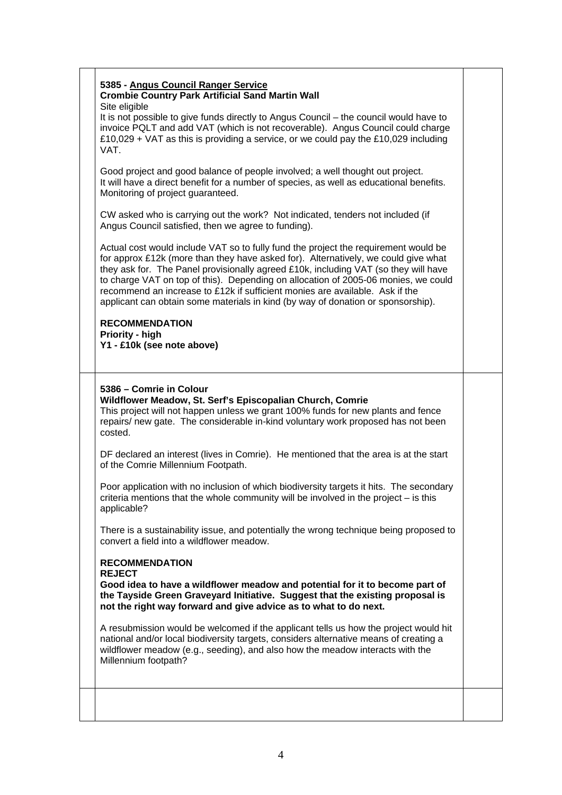| 5385 - Angus Council Ranger Service<br><b>Crombie Country Park Artificial Sand Martin Wall</b><br>Site eligible                                                                                                                                                                                                                                                                                                                                                                                                            |  |
|----------------------------------------------------------------------------------------------------------------------------------------------------------------------------------------------------------------------------------------------------------------------------------------------------------------------------------------------------------------------------------------------------------------------------------------------------------------------------------------------------------------------------|--|
| It is not possible to give funds directly to Angus Council - the council would have to<br>invoice PQLT and add VAT (which is not recoverable). Angus Council could charge<br>£10,029 + VAT as this is providing a service, or we could pay the £10,029 including<br>VAT.                                                                                                                                                                                                                                                   |  |
| Good project and good balance of people involved; a well thought out project.<br>It will have a direct benefit for a number of species, as well as educational benefits.<br>Monitoring of project guaranteed.                                                                                                                                                                                                                                                                                                              |  |
| CW asked who is carrying out the work? Not indicated, tenders not included (if<br>Angus Council satisfied, then we agree to funding).                                                                                                                                                                                                                                                                                                                                                                                      |  |
| Actual cost would include VAT so to fully fund the project the requirement would be<br>for approx £12k (more than they have asked for). Alternatively, we could give what<br>they ask for. The Panel provisionally agreed £10k, including VAT (so they will have<br>to charge VAT on top of this). Depending on allocation of 2005-06 monies, we could<br>recommend an increase to £12k if sufficient monies are available. Ask if the<br>applicant can obtain some materials in kind (by way of donation or sponsorship). |  |
| <b>RECOMMENDATION</b><br>Priority - high<br>Y1 - £10k (see note above)                                                                                                                                                                                                                                                                                                                                                                                                                                                     |  |
| 5386 - Comrie in Colour<br>Wildflower Meadow, St. Serf's Episcopalian Church, Comrie<br>This project will not happen unless we grant 100% funds for new plants and fence<br>repairs/ new gate. The considerable in-kind voluntary work proposed has not been<br>costed.                                                                                                                                                                                                                                                    |  |
| DF declared an interest (lives in Comrie). He mentioned that the area is at the start<br>of the Comrie Millennium Footpath.                                                                                                                                                                                                                                                                                                                                                                                                |  |
| Poor application with no inclusion of which biodiversity targets it hits. The secondary<br>criteria mentions that the whole community will be involved in the project $-$ is this<br>applicable?                                                                                                                                                                                                                                                                                                                           |  |
| There is a sustainability issue, and potentially the wrong technique being proposed to<br>convert a field into a wildflower meadow.                                                                                                                                                                                                                                                                                                                                                                                        |  |
| <b>RECOMMENDATION</b><br><b>REJECT</b><br>Good idea to have a wildflower meadow and potential for it to become part of<br>the Tayside Green Graveyard Initiative. Suggest that the existing proposal is<br>not the right way forward and give advice as to what to do next.                                                                                                                                                                                                                                                |  |
| A resubmission would be welcomed if the applicant tells us how the project would hit<br>national and/or local biodiversity targets, considers alternative means of creating a<br>wildflower meadow (e.g., seeding), and also how the meadow interacts with the<br>Millennium footpath?                                                                                                                                                                                                                                     |  |
|                                                                                                                                                                                                                                                                                                                                                                                                                                                                                                                            |  |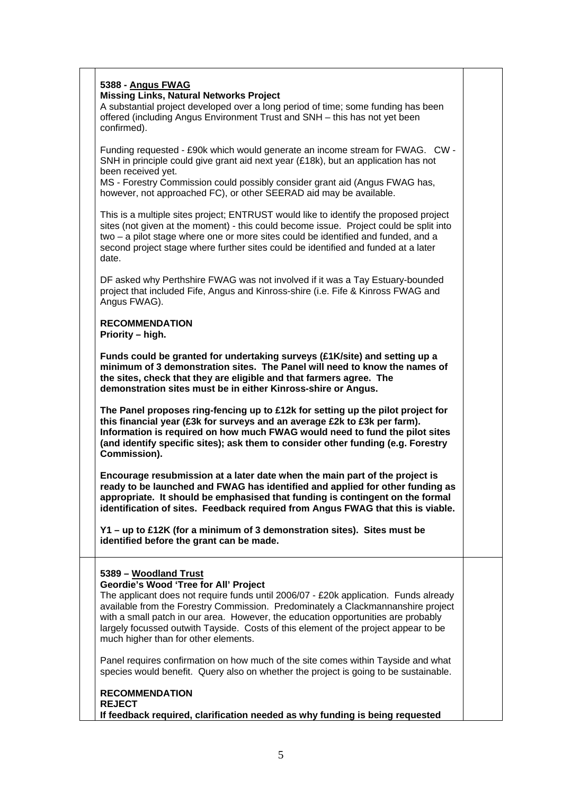| 5388 - Angus FWAG                                                                                                                                                                                                                                                                                                                |  |
|----------------------------------------------------------------------------------------------------------------------------------------------------------------------------------------------------------------------------------------------------------------------------------------------------------------------------------|--|
|                                                                                                                                                                                                                                                                                                                                  |  |
| <b>Missing Links, Natural Networks Project</b>                                                                                                                                                                                                                                                                                   |  |
| A substantial project developed over a long period of time; some funding has been<br>offered (including Angus Environment Trust and SNH - this has not yet been                                                                                                                                                                  |  |
| confirmed).                                                                                                                                                                                                                                                                                                                      |  |
|                                                                                                                                                                                                                                                                                                                                  |  |
| Funding requested - £90k which would generate an income stream for FWAG. CW -                                                                                                                                                                                                                                                    |  |
| SNH in principle could give grant aid next year (£18k), but an application has not                                                                                                                                                                                                                                               |  |
| been received yet.                                                                                                                                                                                                                                                                                                               |  |
| MS - Forestry Commission could possibly consider grant aid (Angus FWAG has,<br>however, not approached FC), or other SEERAD aid may be available.                                                                                                                                                                                |  |
|                                                                                                                                                                                                                                                                                                                                  |  |
| This is a multiple sites project; ENTRUST would like to identify the proposed project                                                                                                                                                                                                                                            |  |
| sites (not given at the moment) - this could become issue. Project could be split into                                                                                                                                                                                                                                           |  |
| two - a pilot stage where one or more sites could be identified and funded, and a                                                                                                                                                                                                                                                |  |
| second project stage where further sites could be identified and funded at a later                                                                                                                                                                                                                                               |  |
| date.                                                                                                                                                                                                                                                                                                                            |  |
| DF asked why Perthshire FWAG was not involved if it was a Tay Estuary-bounded                                                                                                                                                                                                                                                    |  |
| project that included Fife, Angus and Kinross-shire (i.e. Fife & Kinross FWAG and                                                                                                                                                                                                                                                |  |
| Angus FWAG).                                                                                                                                                                                                                                                                                                                     |  |
| <b>RECOMMENDATION</b>                                                                                                                                                                                                                                                                                                            |  |
| Priority - high.                                                                                                                                                                                                                                                                                                                 |  |
|                                                                                                                                                                                                                                                                                                                                  |  |
| minimum of 3 demonstration sites. The Panel will need to know the names of<br>the sites, check that they are eligible and that farmers agree. The<br>demonstration sites must be in either Kinross-shire or Angus.                                                                                                               |  |
| The Panel proposes ring-fencing up to £12k for setting up the pilot project for                                                                                                                                                                                                                                                  |  |
| this financial year (£3k for surveys and an average £2k to £3k per farm).<br>Information is required on how much FWAG would need to fund the pilot sites<br>(and identify specific sites); ask them to consider other funding (e.g. Forestry                                                                                     |  |
| Commission).                                                                                                                                                                                                                                                                                                                     |  |
| Encourage resubmission at a later date when the main part of the project is<br>ready to be launched and FWAG has identified and applied for other funding as<br>appropriate. It should be emphasised that funding is contingent on the formal<br>identification of sites. Feedback required from Angus FWAG that this is viable. |  |
| Y1 - up to £12K (for a minimum of 3 demonstration sites). Sites must be<br>identified before the grant can be made.                                                                                                                                                                                                              |  |
|                                                                                                                                                                                                                                                                                                                                  |  |
| 5389 - Woodland Trust                                                                                                                                                                                                                                                                                                            |  |
| Geordie's Wood 'Tree for All' Project<br>The applicant does not require funds until 2006/07 - £20k application. Funds already                                                                                                                                                                                                    |  |
| available from the Forestry Commission. Predominately a Clackmannanshire project                                                                                                                                                                                                                                                 |  |
| with a small patch in our area. However, the education opportunities are probably                                                                                                                                                                                                                                                |  |
| largely focussed outwith Tayside. Costs of this element of the project appear to be                                                                                                                                                                                                                                              |  |
| much higher than for other elements.                                                                                                                                                                                                                                                                                             |  |
|                                                                                                                                                                                                                                                                                                                                  |  |
| Panel requires confirmation on how much of the site comes within Tayside and what<br>species would benefit. Query also on whether the project is going to be sustainable.                                                                                                                                                        |  |
|                                                                                                                                                                                                                                                                                                                                  |  |
| <b>RECOMMENDATION</b>                                                                                                                                                                                                                                                                                                            |  |
| <b>REJECT</b><br>If feedback required, clarification needed as why funding is being requested                                                                                                                                                                                                                                    |  |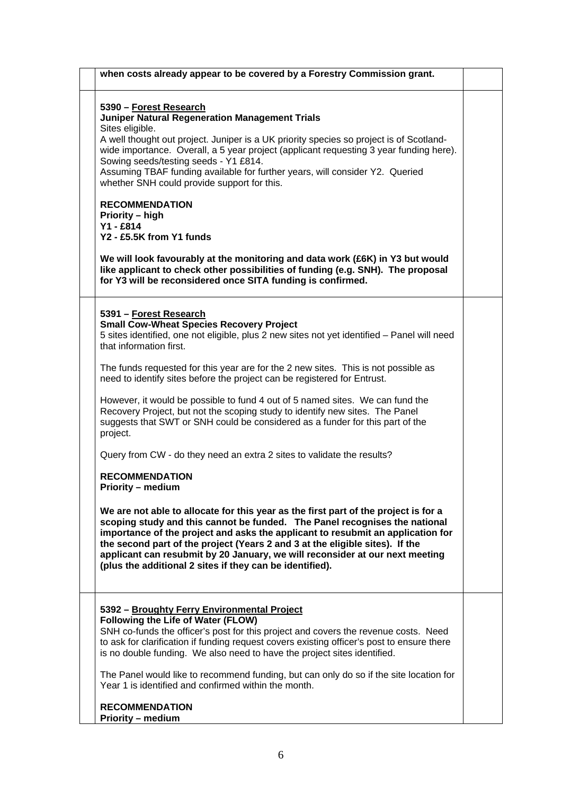| when costs already appear to be covered by a Forestry Commission grant.                                                                                                                                                                                                                                                                                                                                                                                                          |  |
|----------------------------------------------------------------------------------------------------------------------------------------------------------------------------------------------------------------------------------------------------------------------------------------------------------------------------------------------------------------------------------------------------------------------------------------------------------------------------------|--|
| 5390 – Forest Research<br><b>Juniper Natural Regeneration Management Trials</b><br>Sites eligible.<br>A well thought out project. Juniper is a UK priority species so project is of Scotland-<br>wide importance. Overall, a 5 year project (applicant requesting 3 year funding here).<br>Sowing seeds/testing seeds - Y1 £814.<br>Assuming TBAF funding available for further years, will consider Y2. Queried<br>whether SNH could provide support for this.                  |  |
| <b>RECOMMENDATION</b><br>Priority - high<br>Y1 - £814<br>Y2 - £5.5K from Y1 funds<br>We will look favourably at the monitoring and data work (£6K) in Y3 but would<br>like applicant to check other possibilities of funding (e.g. SNH). The proposal<br>for Y3 will be reconsidered once SITA funding is confirmed.                                                                                                                                                             |  |
| 5391 - Forest Research<br><b>Small Cow-Wheat Species Recovery Project</b><br>5 sites identified, one not eligible, plus 2 new sites not yet identified - Panel will need<br>that information first.                                                                                                                                                                                                                                                                              |  |
| The funds requested for this year are for the 2 new sites. This is not possible as<br>need to identify sites before the project can be registered for Entrust.                                                                                                                                                                                                                                                                                                                   |  |
| However, it would be possible to fund 4 out of 5 named sites. We can fund the<br>Recovery Project, but not the scoping study to identify new sites. The Panel<br>suggests that SWT or SNH could be considered as a funder for this part of the<br>project.                                                                                                                                                                                                                       |  |
| Query from CW - do they need an extra 2 sites to validate the results?                                                                                                                                                                                                                                                                                                                                                                                                           |  |
| <b>RECOMMENDATION</b><br>Priority - medium                                                                                                                                                                                                                                                                                                                                                                                                                                       |  |
| We are not able to allocate for this year as the first part of the project is for a<br>scoping study and this cannot be funded. The Panel recognises the national<br>importance of the project and asks the applicant to resubmit an application for<br>the second part of the project (Years 2 and 3 at the eligible sites). If the<br>applicant can resubmit by 20 January, we will reconsider at our next meeting<br>(plus the additional 2 sites if they can be identified). |  |
| 5392 - Broughty Ferry Environmental Project<br>Following the Life of Water (FLOW)<br>SNH co-funds the officer's post for this project and covers the revenue costs. Need<br>to ask for clarification if funding request covers existing officer's post to ensure there<br>is no double funding. We also need to have the project sites identified.                                                                                                                               |  |
| The Panel would like to recommend funding, but can only do so if the site location for<br>Year 1 is identified and confirmed within the month.                                                                                                                                                                                                                                                                                                                                   |  |
| <b>RECOMMENDATION</b><br><b>Priority - medium</b>                                                                                                                                                                                                                                                                                                                                                                                                                                |  |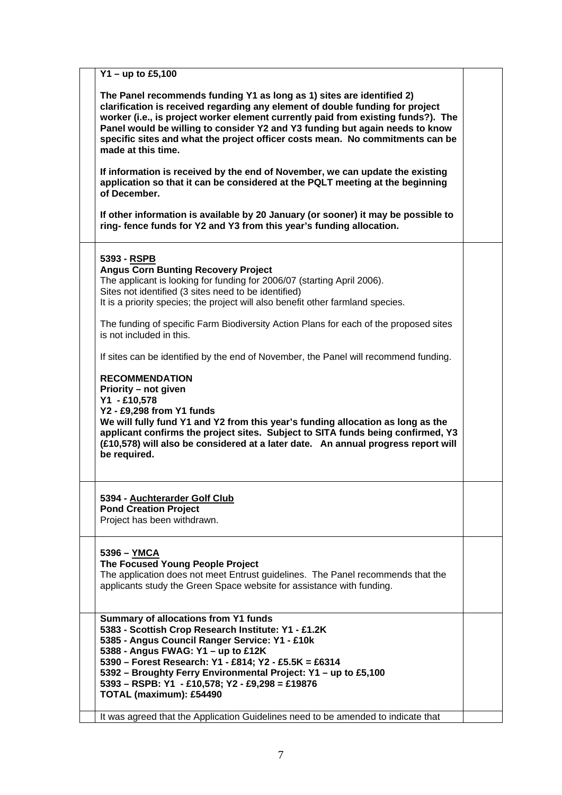| $Y1 - up to £5,100$                                                                                                                                                                                                                                                                                                                                                                                                                                                                                                                                                                                                                                                                                                                                                                                                                                                   |  |
|-----------------------------------------------------------------------------------------------------------------------------------------------------------------------------------------------------------------------------------------------------------------------------------------------------------------------------------------------------------------------------------------------------------------------------------------------------------------------------------------------------------------------------------------------------------------------------------------------------------------------------------------------------------------------------------------------------------------------------------------------------------------------------------------------------------------------------------------------------------------------|--|
| The Panel recommends funding Y1 as long as 1) sites are identified 2)<br>clarification is received regarding any element of double funding for project<br>worker (i.e., is project worker element currently paid from existing funds?). The<br>Panel would be willing to consider Y2 and Y3 funding but again needs to know<br>specific sites and what the project officer costs mean. No commitments can be<br>made at this time.<br>If information is received by the end of November, we can update the existing<br>application so that it can be considered at the PQLT meeting at the beginning<br>of December.<br>If other information is available by 20 January (or sooner) it may be possible to<br>ring-fence funds for Y2 and Y3 from this year's funding allocation.                                                                                      |  |
| 5393 - RSPB<br><b>Angus Corn Bunting Recovery Project</b><br>The applicant is looking for funding for 2006/07 (starting April 2006).<br>Sites not identified (3 sites need to be identified)<br>It is a priority species; the project will also benefit other farmland species.<br>The funding of specific Farm Biodiversity Action Plans for each of the proposed sites<br>is not included in this.<br>If sites can be identified by the end of November, the Panel will recommend funding.<br><b>RECOMMENDATION</b><br>Priority – not given<br>Y1 - £10,578<br>Y2 - £9,298 from Y1 funds<br>We will fully fund Y1 and Y2 from this year's funding allocation as long as the<br>applicant confirms the project sites. Subject to SITA funds being confirmed, Y3<br>(£10,578) will also be considered at a later date. An annual progress report will<br>be required. |  |
| 5394 - Auchterarder Golf Club<br><b>Pond Creation Project</b><br>Project has been withdrawn.                                                                                                                                                                                                                                                                                                                                                                                                                                                                                                                                                                                                                                                                                                                                                                          |  |
| 5396 - YMCA<br>The Focused Young People Project<br>The application does not meet Entrust guidelines. The Panel recommends that the<br>applicants study the Green Space website for assistance with funding.                                                                                                                                                                                                                                                                                                                                                                                                                                                                                                                                                                                                                                                           |  |
| <b>Summary of allocations from Y1 funds</b><br>5383 - Scottish Crop Research Institute: Y1 - £1.2K<br>5385 - Angus Council Ranger Service: Y1 - £10k<br>5388 - Angus FWAG: Y1 - up to £12K<br>5390 - Forest Research: Y1 - £814; Y2 - £5.5K = £6314<br>5392 - Broughty Ferry Environmental Project: Y1 - up to £5,100<br>5393 - RSPB: Y1 - £10,578; Y2 - £9,298 = £19876<br>TOTAL (maximum): £54490                                                                                                                                                                                                                                                                                                                                                                                                                                                                   |  |
| It was agreed that the Application Guidelines need to be amended to indicate that                                                                                                                                                                                                                                                                                                                                                                                                                                                                                                                                                                                                                                                                                                                                                                                     |  |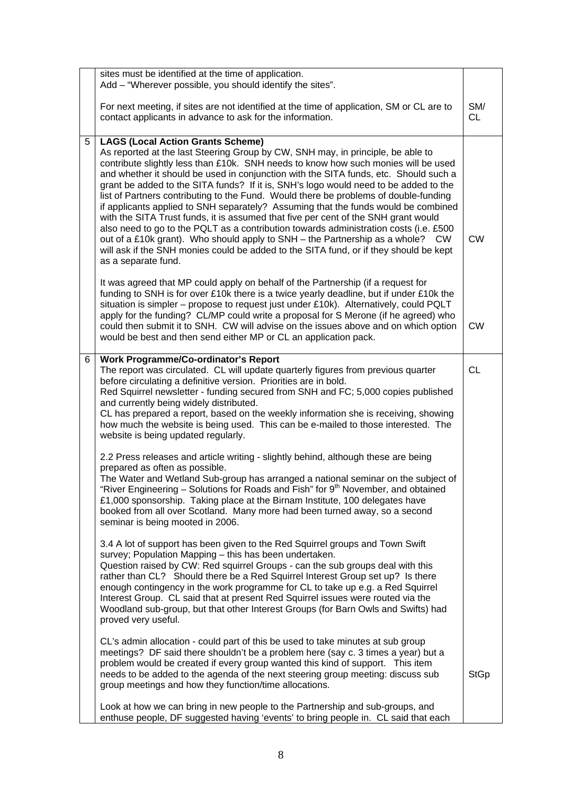|   | sites must be identified at the time of application.<br>Add - "Wherever possible, you should identify the sites".                                                                                                                                                                                                                                                                                                                                                                                                                                                                                                                                                                                                                                                                                                                                                                                                                                                |                  |
|---|------------------------------------------------------------------------------------------------------------------------------------------------------------------------------------------------------------------------------------------------------------------------------------------------------------------------------------------------------------------------------------------------------------------------------------------------------------------------------------------------------------------------------------------------------------------------------------------------------------------------------------------------------------------------------------------------------------------------------------------------------------------------------------------------------------------------------------------------------------------------------------------------------------------------------------------------------------------|------------------|
|   | For next meeting, if sites are not identified at the time of application, SM or CL are to<br>contact applicants in advance to ask for the information.                                                                                                                                                                                                                                                                                                                                                                                                                                                                                                                                                                                                                                                                                                                                                                                                           | SM/<br><b>CL</b> |
| 5 | <b>LAGS (Local Action Grants Scheme)</b><br>As reported at the last Steering Group by CW, SNH may, in principle, be able to<br>contribute slightly less than £10k. SNH needs to know how such monies will be used<br>and whether it should be used in conjunction with the SITA funds, etc. Should such a<br>grant be added to the SITA funds? If it is, SNH's logo would need to be added to the<br>list of Partners contributing to the Fund. Would there be problems of double-funding<br>if applicants applied to SNH separately? Assuming that the funds would be combined<br>with the SITA Trust funds, it is assumed that five per cent of the SNH grant would<br>also need to go to the PQLT as a contribution towards administration costs (i.e. £500<br>out of a £10k grant). Who should apply to SNH - the Partnership as a whole? CW<br>will ask if the SNH monies could be added to the SITA fund, or if they should be kept<br>as a separate fund. | <b>CW</b>        |
|   | It was agreed that MP could apply on behalf of the Partnership (if a request for<br>funding to SNH is for over £10k there is a twice yearly deadline, but if under £10k the<br>situation is simpler – propose to request just under £10k). Alternatively, could PQLT<br>apply for the funding? CL/MP could write a proposal for S Merone (if he agreed) who<br>could then submit it to SNH. CW will advise on the issues above and on which option<br>would be best and then send either MP or CL an application pack.                                                                                                                                                                                                                                                                                                                                                                                                                                           | <b>CW</b>        |
| 6 | <b>Work Programme/Co-ordinator's Report</b><br>The report was circulated. CL will update quarterly figures from previous quarter<br>before circulating a definitive version. Priorities are in bold.<br>Red Squirrel newsletter - funding secured from SNH and FC; 5,000 copies published<br>and currently being widely distributed.<br>CL has prepared a report, based on the weekly information she is receiving, showing<br>how much the website is being used. This can be e-mailed to those interested. The<br>website is being updated regularly.                                                                                                                                                                                                                                                                                                                                                                                                          | <b>CL</b>        |
|   | 2.2 Press releases and article writing - slightly behind, although these are being<br>prepared as often as possible.<br>The Water and Wetland Sub-group has arranged a national seminar on the subject of<br>"River Engineering - Solutions for Roads and Fish" for 9 <sup>th</sup> November, and obtained<br>£1,000 sponsorship. Taking place at the Birnam Institute, 100 delegates have<br>booked from all over Scotland. Many more had been turned away, so a second<br>seminar is being mooted in 2006.                                                                                                                                                                                                                                                                                                                                                                                                                                                     |                  |
|   | 3.4 A lot of support has been given to the Red Squirrel groups and Town Swift<br>survey; Population Mapping - this has been undertaken.<br>Question raised by CW: Red squirrel Groups - can the sub groups deal with this<br>rather than CL? Should there be a Red Squirrel Interest Group set up? Is there<br>enough contingency in the work programme for CL to take up e.g. a Red Squirrel<br>Interest Group. CL said that at present Red Squirrel issues were routed via the<br>Woodland sub-group, but that other Interest Groups (for Barn Owls and Swifts) had<br>proved very useful.                                                                                                                                                                                                                                                                                                                                                                     |                  |
|   | CL's admin allocation - could part of this be used to take minutes at sub group<br>meetings? DF said there shouldn't be a problem here (say c. 3 times a year) but a<br>problem would be created if every group wanted this kind of support. This item<br>needs to be added to the agenda of the next steering group meeting: discuss sub<br>group meetings and how they function/time allocations.                                                                                                                                                                                                                                                                                                                                                                                                                                                                                                                                                              | <b>StGp</b>      |
|   | Look at how we can bring in new people to the Partnership and sub-groups, and<br>enthuse people, DF suggested having 'events' to bring people in. CL said that each                                                                                                                                                                                                                                                                                                                                                                                                                                                                                                                                                                                                                                                                                                                                                                                              |                  |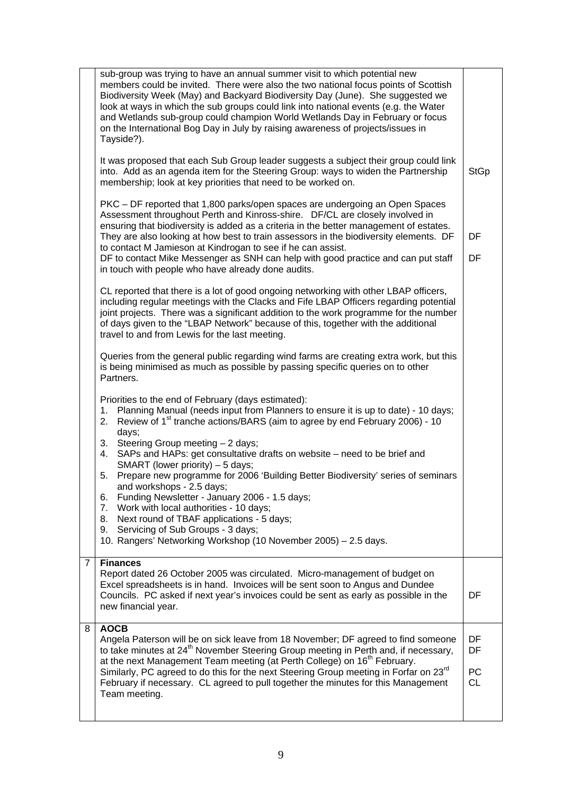|                | sub-group was trying to have an annual summer visit to which potential new<br>members could be invited. There were also the two national focus points of Scottish<br>Biodiversity Week (May) and Backyard Biodiversity Day (June). She suggested we<br>look at ways in which the sub groups could link into national events (e.g. the Water<br>and Wetlands sub-group could champion World Wetlands Day in February or focus<br>on the International Bog Day in July by raising awareness of projects/issues in<br>Tayside?).<br>It was proposed that each Sub Group leader suggests a subject their group could link<br>into. Add as an agenda item for the Steering Group: ways to widen the Partnership                                     | <b>StGp</b>                 |
|----------------|------------------------------------------------------------------------------------------------------------------------------------------------------------------------------------------------------------------------------------------------------------------------------------------------------------------------------------------------------------------------------------------------------------------------------------------------------------------------------------------------------------------------------------------------------------------------------------------------------------------------------------------------------------------------------------------------------------------------------------------------|-----------------------------|
|                | membership; look at key priorities that need to be worked on.<br>PKC – DF reported that 1,800 parks/open spaces are undergoing an Open Spaces<br>Assessment throughout Perth and Kinross-shire. DF/CL are closely involved in<br>ensuring that biodiversity is added as a criteria in the better management of estates.<br>They are also looking at how best to train assessors in the biodiversity elements. DF<br>to contact M Jamieson at Kindrogan to see if he can assist.<br>DF to contact Mike Messenger as SNH can help with good practice and can put staff<br>in touch with people who have already done audits.                                                                                                                     | DF<br>DF                    |
|                | CL reported that there is a lot of good ongoing networking with other LBAP officers,<br>including regular meetings with the Clacks and Fife LBAP Officers regarding potential<br>joint projects. There was a significant addition to the work programme for the number<br>of days given to the "LBAP Network" because of this, together with the additional<br>travel to and from Lewis for the last meeting.                                                                                                                                                                                                                                                                                                                                  |                             |
|                | Queries from the general public regarding wind farms are creating extra work, but this<br>is being minimised as much as possible by passing specific queries on to other<br>Partners.                                                                                                                                                                                                                                                                                                                                                                                                                                                                                                                                                          |                             |
|                | Priorities to the end of February (days estimated):<br>Planning Manual (needs input from Planners to ensure it is up to date) - 10 days;<br>1.<br>Review of 1 <sup>st</sup> tranche actions/BARS (aim to agree by end February 2006) - 10<br>2.<br>days;<br>3. Steering Group meeting - 2 days;<br>4. SAPs and HAPs: get consultative drafts on website - need to be brief and<br>SMART (lower priority) - 5 days;<br>Prepare new programme for 2006 'Building Better Biodiversity' series of seminars<br>5.<br>and workshops - 2.5 days;<br>Funding Newsletter - January 2006 - 1.5 days;<br>6.<br>Work with local authorities - 10 days;<br>7.<br>Next round of TBAF applications - 5 days;<br>8.<br>Servicing of Sub Groups - 3 days;<br>9. |                             |
|                | 10. Rangers' Networking Workshop (10 November 2005) - 2.5 days.                                                                                                                                                                                                                                                                                                                                                                                                                                                                                                                                                                                                                                                                                |                             |
| $\overline{7}$ | <b>Finances</b><br>Report dated 26 October 2005 was circulated. Micro-management of budget on<br>Excel spreadsheets is in hand. Invoices will be sent soon to Angus and Dundee<br>Councils. PC asked if next year's invoices could be sent as early as possible in the<br>new financial year.                                                                                                                                                                                                                                                                                                                                                                                                                                                  | DF                          |
| 8              | <b>AOCB</b><br>Angela Paterson will be on sick leave from 18 November; DF agreed to find someone<br>to take minutes at 24 <sup>th</sup> November Steering Group meeting in Perth and, if necessary,<br>at the next Management Team meeting (at Perth College) on 16 <sup>th</sup> February.<br>Similarly, PC agreed to do this for the next Steering Group meeting in Forfar on 23rd<br>February if necessary. CL agreed to pull together the minutes for this Management<br>Team meeting.                                                                                                                                                                                                                                                     | DF<br>DF<br>PC<br><b>CL</b> |